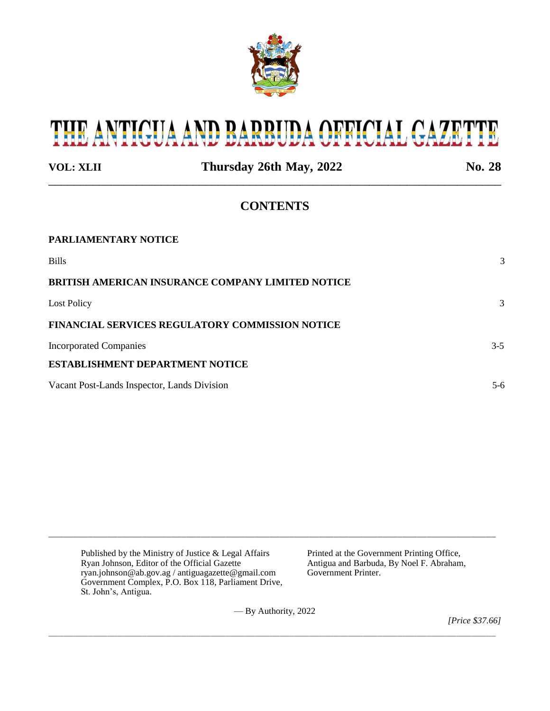

# THE ANTIGUA AND BARBUDA OFFICIAL GAZETTE

| <b>VOL: XLII</b>                            | Thursday 26th May, 2022                                  | No. 28  |
|---------------------------------------------|----------------------------------------------------------|---------|
|                                             | <b>CONTENTS</b>                                          |         |
| <b>PARLIAMENTARY NOTICE</b>                 |                                                          |         |
| <b>Bills</b>                                |                                                          | 3       |
|                                             | <b>BRITISH AMERICAN INSURANCE COMPANY LIMITED NOTICE</b> |         |
| Lost Policy                                 |                                                          | 3       |
|                                             | <b>FINANCIAL SERVICES REGULATORY COMMISSION NOTICE</b>   |         |
| <b>Incorporated Companies</b>               |                                                          | $3 - 5$ |
| <b>ESTABLISHMENT DEPARTMENT NOTICE</b>      |                                                          |         |
| Vacant Post-Lands Inspector, Lands Division |                                                          | $5-6$   |

Published by the Ministry of Justice & Legal Affairs Printed at the Government Printing Office,<br>
Ryan Johnson, Editor of the Official Gazette Antigua and Barbuda, By Noel F. Abraham, Ryan Johnson, Editor of the Official Gazette <br>
ryan.johnson@ab.gov.ag / antiguagazette@gmail.com Government Printer. ryan.johnson@ab.gov.ag / antiguagazette@gmail.com Government Complex, P.O. Box 118, Parliament Drive, St. John's, Antigua.

— By Authority, 2022

\_\_\_\_\_\_\_\_\_\_\_\_\_\_\_\_\_\_\_\_\_\_\_\_\_\_\_\_\_\_\_\_\_\_\_\_\_\_\_\_\_\_\_\_\_\_\_\_\_\_\_\_\_\_\_\_\_\_\_\_\_\_\_\_\_\_\_\_\_\_\_\_\_\_\_\_\_\_\_\_\_\_\_\_\_\_\_\_\_\_\_

\_\_\_\_\_\_\_\_\_\_\_\_\_\_\_\_\_\_\_\_\_\_\_\_\_\_\_\_\_\_\_\_\_\_\_\_\_\_\_\_\_\_\_\_\_\_\_\_\_\_\_\_\_\_\_\_\_\_\_\_\_\_\_\_\_\_\_\_\_\_\_\_\_\_\_\_\_\_\_\_\_\_\_\_\_\_\_\_\_\_\_

*[Price \$37.66]*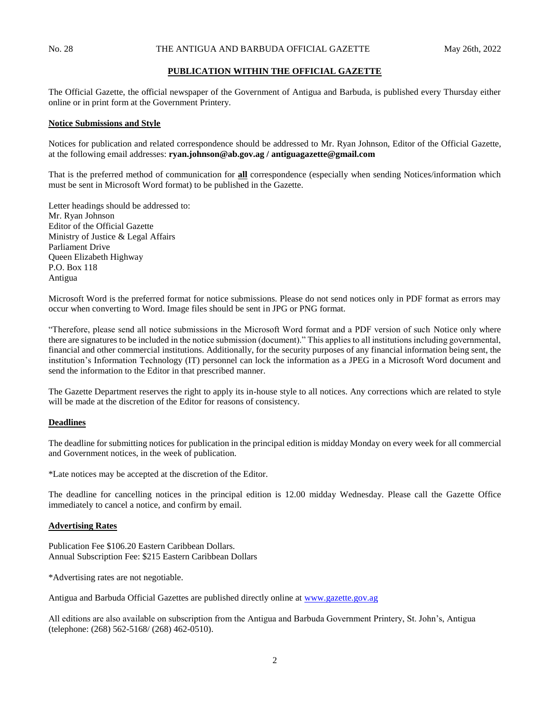## **PUBLICATION WITHIN THE OFFICIAL GAZETTE**

The Official Gazette, the official newspaper of the Government of Antigua and Barbuda, is published every Thursday either online or in print form at the Government Printery.

#### **Notice Submissions and Style**

Notices for publication and related correspondence should be addressed to Mr. Ryan Johnson, Editor of the Official Gazette, at the following email addresses: **ryan.johnson@ab.gov.ag / antiguagazette@gmail.com**

That is the preferred method of communication for **all** correspondence (especially when sending Notices/information which must be sent in Microsoft Word format) to be published in the Gazette.

Letter headings should be addressed to: Mr. Ryan Johnson Editor of the Official Gazette Ministry of Justice & Legal Affairs Parliament Drive Queen Elizabeth Highway P.O. Box 118 Antigua

Microsoft Word is the preferred format for notice submissions. Please do not send notices only in PDF format as errors may occur when converting to Word. Image files should be sent in JPG or PNG format.

"Therefore, please send all notice submissions in the Microsoft Word format and a PDF version of such Notice only where there are signatures to be included in the notice submission (document)." This applies to all institutions including governmental, financial and other commercial institutions. Additionally, for the security purposes of any financial information being sent, the institution's Information Technology (IT) personnel can lock the information as a JPEG in a Microsoft Word document and send the information to the Editor in that prescribed manner.

The Gazette Department reserves the right to apply its in-house style to all notices. Any corrections which are related to style will be made at the discretion of the Editor for reasons of consistency.

### **Deadlines**

The deadline for submitting notices for publication in the principal edition is midday Monday on every week for all commercial and Government notices, in the week of publication.

\*Late notices may be accepted at the discretion of the Editor.

The deadline for cancelling notices in the principal edition is 12.00 midday Wednesday. Please call the Gazette Office immediately to cancel a notice, and confirm by email.

#### **Advertising Rates**

Publication Fee \$106.20 Eastern Caribbean Dollars. Annual Subscription Fee: \$215 Eastern Caribbean Dollars

\*Advertising rates are not negotiable.

Antigua and Barbuda Official Gazettes are published directly online at [www.gazette.gov.ag](http://www.gazette.gov.ag/)

All editions are also available on subscription from the Antigua and Barbuda Government Printery, St. John's, Antigua (telephone: (268) 562-5168/ (268) 462-0510).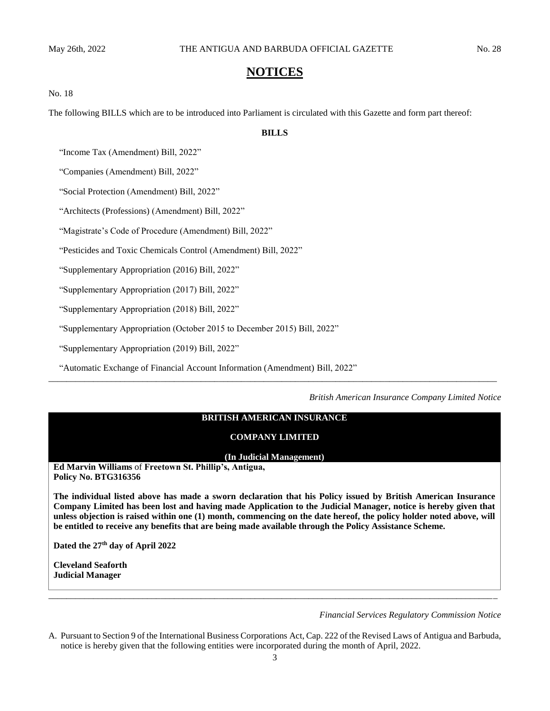# **NOTICES**

#### No. 18

The following BILLS which are to be introduced into Parliament is circulated with this Gazette and form part thereof:

## **BILLS**

"Income Tax (Amendment) Bill, 2022"

"Companies (Amendment) Bill, 2022"

"Social Protection (Amendment) Bill, 2022"

"Architects (Professions) (Amendment) Bill, 2022"

"Magistrate's Code of Procedure (Amendment) Bill, 2022"

"Pesticides and Toxic Chemicals Control (Amendment) Bill, 2022"

"Supplementary Appropriation (2016) Bill, 2022"

"Supplementary Appropriation (2017) Bill, 2022"

"Supplementary Appropriation (2018) Bill, 2022"

"Supplementary Appropriation (October 2015 to December 2015) Bill, 2022"

"Supplementary Appropriation (2019) Bill, 2022"

"Automatic Exchange of Financial Account Information (Amendment) Bill, 2022"

*British American Insurance Company Limited Notice*

# **BRITISH AMERICAN INSURANCE**

*\_\_\_\_\_\_\_\_\_\_\_\_\_\_\_\_\_\_\_\_\_\_\_\_\_\_\_\_\_\_\_\_\_\_\_\_\_\_\_\_\_\_\_\_\_\_\_\_\_\_\_\_\_\_\_\_\_\_\_\_\_\_\_\_\_\_\_\_\_\_\_\_\_\_\_\_\_\_\_\_\_\_\_\_\_\_\_\_\_\_\_\_\_\_\_\_\_\_\_\_*

#### **COMPANY LIMITED**

#### **(In Judicial Management)**

**Ed Marvin Williams** of **Freetown St. Phillip's, Antigua, Policy No. BTG316356**

**The individual listed above has made a sworn declaration that his Policy issued by British American Insurance Company Limited has been lost and having made Application to the Judicial Manager, notice is hereby given that unless objection is raised within one (1) month, commencing on the date hereof, the policy holder noted above, will be entitled to receive any benefits that are being made available through the Policy Assistance Scheme.**

**Dated the 27th day of April 2022**

**Cleveland Seaforth Judicial Manager**

#### *Financial Services Regulatory Commission Notice*

A. Pursuant to Section 9 of the International Business Corporations Act, Cap. 222 of the Revised Laws of Antigua and Barbuda, notice is hereby given that the following entities were incorporated during the month of April, 2022.

*\_\_\_\_\_\_\_\_\_\_\_\_\_\_\_\_\_\_\_\_\_\_\_\_\_\_\_\_\_\_\_\_\_\_\_\_\_\_\_\_\_\_\_\_\_\_\_\_\_\_\_\_\_\_\_\_\_\_\_\_\_\_\_\_\_\_\_\_\_\_\_\_\_\_\_\_\_\_\_\_\_\_\_\_\_\_\_\_\_\_\_\_\_\_\_\_\_\_\_\_*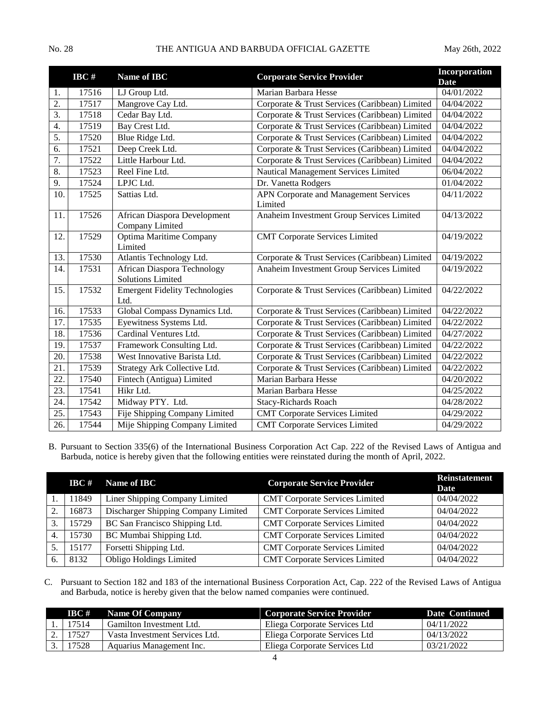|                   | $\bf{I} \bf{B} \bf{C}$ # | Name of IBC                                                    | <b>Corporate Service Provider</b>                | Incorporation<br><b>Date</b> |
|-------------------|--------------------------|----------------------------------------------------------------|--------------------------------------------------|------------------------------|
| 1.                | 17516                    | LJ Group Ltd.                                                  | Marian Barbara Hesse                             | 04/01/2022                   |
| 2.                | 17517                    | Mangrove Cay Ltd.                                              | Corporate & Trust Services (Caribbean) Limited   | 04/04/2022                   |
| $\overline{3}$ .  | 17518                    | Cedar Bay Ltd.                                                 | Corporate & Trust Services (Caribbean) Limited   | 04/04/2022                   |
| 4.                | 17519                    | Bay Crest Ltd.                                                 | Corporate & Trust Services (Caribbean) Limited   | 04/04/2022                   |
| $\overline{5}$ .  | 17520                    | Blue Ridge Ltd.                                                | Corporate & Trust Services (Caribbean) Limited   | 04/04/2022                   |
| 6.                | 17521                    | Deep Creek Ltd.                                                | Corporate & Trust Services (Caribbean) Limited   | 04/04/2022                   |
| 7.                | 17522                    | Little Harbour Ltd.                                            | Corporate & Trust Services (Caribbean) Limited   | 04/04/2022                   |
| $\overline{8}$ .  | 17523                    | Reel Fine Ltd.                                                 | Nautical Management Services Limited             | 06/04/2022                   |
| 9.                | 17524                    | LPJC Ltd.                                                      | Dr. Vanetta Rodgers                              | 01/04/2022                   |
| 10.               | 17525                    | Sattias Ltd.                                                   | APN Corporate and Management Services<br>Limited | 04/11/2022                   |
| 11.               | 17526                    | African Diaspora Development<br>Company Limited                | Anaheim Investment Group Services Limited        | 04/13/2022                   |
| 12.               | 17529                    | <b>Optima Maritime Company</b><br>Limited                      | <b>CMT Corporate Services Limited</b>            | 04/19/2022                   |
| 13.               | 17530                    | Atlantis Technology Ltd.                                       | Corporate & Trust Services (Caribbean) Limited   | 04/19/2022                   |
| 14.               | 17531                    | <b>African Diaspora Technology</b><br><b>Solutions Limited</b> | Anaheim Investment Group Services Limited        | 04/19/2022                   |
| 15.               | 17532                    | <b>Emergent Fidelity Technologies</b><br>Ltd.                  | Corporate & Trust Services (Caribbean) Limited   | 04/22/2022                   |
| 16.               | 17533                    | Global Compass Dynamics Ltd.                                   | Corporate & Trust Services (Caribbean) Limited   | 04/22/2022                   |
| 17.               | 17535                    | Eyewitness Systems Ltd.                                        | Corporate & Trust Services (Caribbean) Limited   | 04/22/2022                   |
| 18.               | 17536                    | Cardinal Ventures Ltd.                                         | Corporate & Trust Services (Caribbean) Limited   | 04/27/2022                   |
| 19.               | 17537                    | Framework Consulting Ltd.                                      | Corporate & Trust Services (Caribbean) Limited   | 04/22/2022                   |
| 20.               | 17538                    | West Innovative Barista Ltd.                                   | Corporate & Trust Services (Caribbean) Limited   | 04/22/2022                   |
| 21.               | 17539                    | Strategy Ark Collective Ltd.                                   | Corporate & Trust Services (Caribbean) Limited   | 04/22/2022                   |
| 22.               | 17540                    | Fintech (Antigua) Limited                                      | Marian Barbara Hesse                             | 04/20/2022                   |
| $\overline{23}$ . | 17541                    | Hikr Ltd.                                                      | Marian Barbara Hesse                             | 04/25/2022                   |
| 24.               | 17542                    | Midway PTY. Ltd.                                               | Stacy-Richards Roach                             | 04/28/2022                   |
| 25.               | 17543                    | Fije Shipping Company Limited                                  | <b>CMT Corporate Services Limited</b>            | 04/29/2022                   |
| 26.               | 17544                    | Mije Shipping Company Limited                                  | <b>CMT Corporate Services Limited</b>            | 04/29/2022                   |

B. Pursuant to Section 335(6) of the International Business Corporation Act Cap. 222 of the Revised Laws of Antigua and Barbuda, notice is hereby given that the following entities were reinstated during the month of April, 2022.

|    | $\bf{BC}$ # | <b>Name of IBC</b>                  | <b>Corporate Service Provider</b>     | <b>Reinstatement</b><br>Date |
|----|-------------|-------------------------------------|---------------------------------------|------------------------------|
|    | 11849       | Liner Shipping Company Limited      | <b>CMT Corporate Services Limited</b> | 04/04/2022                   |
| 2. | 16873       | Discharger Shipping Company Limited | <b>CMT Corporate Services Limited</b> | 04/04/2022                   |
| 3. | 15729       | BC San Francisco Shipping Ltd.      | <b>CMT Corporate Services Limited</b> | 04/04/2022                   |
| 4. | 15730       | BC Mumbai Shipping Ltd.             | <b>CMT Corporate Services Limited</b> | 04/04/2022                   |
|    | 15177       | Forsetti Shipping Ltd.              | <b>CMT Corporate Services Limited</b> | 04/04/2022                   |
| 6. | 8132        | <b>Obligo Holdings Limited</b>      | <b>CMT Corporate Services Limited</b> | 04/04/2022                   |

C. Pursuant to Section 182 and 183 of the international Business Corporation Act, Cap. 222 of the Revised Laws of Antigua and Barbuda, notice is hereby given that the below named companies were continued.

| $\textbf{IBC} \#$ | Name Of Company                | <b>Corporate Service Provider</b> | Date Continued |
|-------------------|--------------------------------|-----------------------------------|----------------|
| 17514             | Gamilton Investment Ltd.       | Eliega Corporate Services Ltd     | 04/11/2022     |
| 17527             | Vasta Investment Services Ltd. | Eliega Corporate Services Ltd     | 04/13/2022     |
| 17528             | Aquarius Management Inc.       | Eliega Corporate Services Ltd     | 03/21/2022     |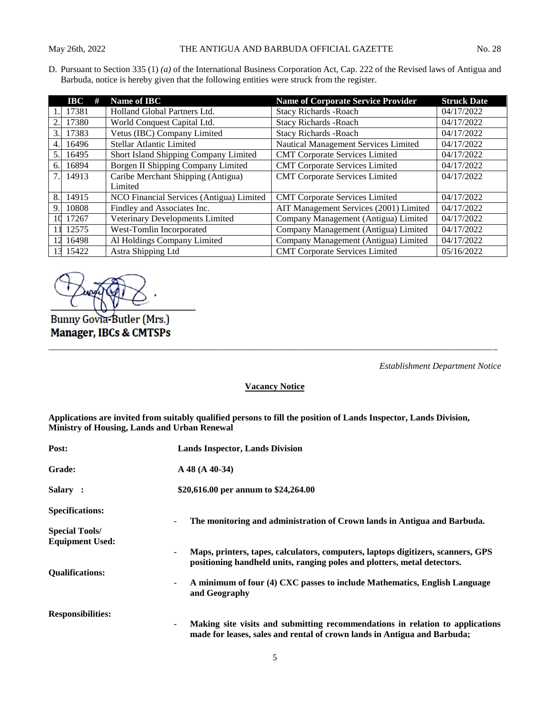D. Pursuant to Section 335 (1) *(a)* of the International Business Corporation Act, Cap. 222 of the Revised laws of Antigua and Barbuda, notice is hereby given that the following entities were struck from the register.

|    | #<br>$\bf IBC$ | Name of IBC                              | <b>Name of Corporate Service Provider</b> | <b>Struck Date</b> |
|----|----------------|------------------------------------------|-------------------------------------------|--------------------|
|    | 17381          | Holland Global Partners Ltd.             | <b>Stacy Richards - Roach</b>             | 04/17/2022         |
| 2. | 17380          | World Conquest Capital Ltd.              | <b>Stacy Richards - Roach</b>             | 04/17/2022         |
| 3. | 17383          | Vetus (IBC) Company Limited              | <b>Stacy Richards - Roach</b>             | 04/17/2022         |
| 4. | 16496          | Stellar Atlantic Limited                 | Nautical Management Services Limited      | 04/17/2022         |
| 5. | 16495          | Short Island Shipping Company Limited    | <b>CMT Corporate Services Limited</b>     | 04/17/2022         |
| 6. | 16894          | Borgen II Shipping Company Limited       | <b>CMT Corporate Services Limited</b>     | 04/17/2022         |
|    | 7. 14913       | Caribe Merchant Shipping (Antigua)       | <b>CMT Corporate Services Limited</b>     | 04/17/2022         |
|    |                | Limited                                  |                                           |                    |
| 8. | 14915          | NCO Financial Services (Antigua) Limited | <b>CMT</b> Corporate Services Limited     | 04/17/2022         |
| 9. | 10808          | Findley and Associates Inc.              | AIT Management Services (2001) Limited    | 04/17/2022         |
|    | 10 17267       | Veterinary Developments Limited          | Company Management (Antigua) Limited      | 04/17/2022         |
|    | 11 12575       | West-Tomlin Incorporated                 | Company Management (Antigua) Limited      | 04/17/2022         |
|    | 16498          | Al Holdings Company Limited              | Company Management (Antigua) Limited      | 04/17/2022         |
|    | 13 15422       | Astra Shipping Ltd                       | <b>CMT</b> Corporate Services Limited     | 05/16/2022         |

Bunny Govia-Butler (Mrs.) **Manager, IBCs & CMTSPs** 

*Establishment Department Notice*

**Vacancy Notice**

*\_\_\_\_\_\_\_\_\_\_\_\_\_\_\_\_\_\_\_\_\_\_\_\_\_\_\_\_\_\_\_\_\_\_\_\_\_\_\_\_\_\_\_\_\_\_\_\_\_\_\_\_\_\_\_\_\_\_\_\_\_\_\_\_\_\_\_\_\_\_\_\_\_\_\_\_\_\_\_\_\_\_\_\_\_\_\_\_\_\_\_\_\_\_\_\_\_\_\_\_*

**Applications are invited from suitably qualified persons to fill the position of Lands Inspector, Lands Division, Ministry of Housing, Lands and Urban Renewal** 

| Post:                                           | <b>Lands Inspector, Lands Division</b>                                                                                                                       |  |
|-------------------------------------------------|--------------------------------------------------------------------------------------------------------------------------------------------------------------|--|
| <b>Grade:</b>                                   | $A$ 48 (A 40-34)                                                                                                                                             |  |
| Salary :                                        | \$20,616.00 per annum to \$24,264.00                                                                                                                         |  |
| <b>Specifications:</b>                          | The monitoring and administration of Crown lands in Antigua and Barbuda.                                                                                     |  |
| <b>Special Tools/</b><br><b>Equipment Used:</b> |                                                                                                                                                              |  |
|                                                 | Maps, printers, tapes, calculators, computers, laptops digitizers, scanners, GPS<br>positioning handheld units, ranging poles and plotters, metal detectors. |  |
| <b>Oualifications:</b>                          |                                                                                                                                                              |  |
|                                                 | A minimum of four (4) CXC passes to include Mathematics, English Language<br>and Geography                                                                   |  |
| <b>Responsibilities:</b>                        |                                                                                                                                                              |  |
|                                                 | Making site visits and submitting recommendations in relation to applications<br>made for leases, sales and rental of crown lands in Antigua and Barbuda;    |  |